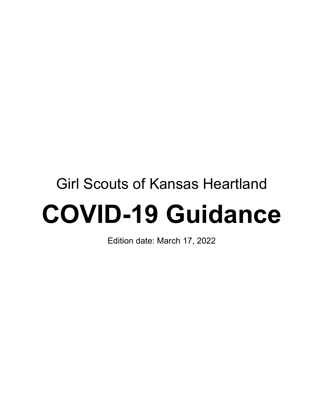# Girl Scouts of Kansas Heartland **COVID-19 Guidance**

Edition date: March 17, 2022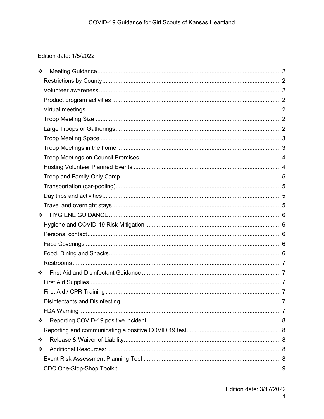# Edition date: 1/5/2022

| ❖                                   |  |
|-------------------------------------|--|
|                                     |  |
|                                     |  |
|                                     |  |
|                                     |  |
|                                     |  |
|                                     |  |
|                                     |  |
|                                     |  |
|                                     |  |
|                                     |  |
|                                     |  |
|                                     |  |
|                                     |  |
|                                     |  |
| $\mathbf{r}^{\bullet}_{\mathbf{a}}$ |  |
|                                     |  |
|                                     |  |
|                                     |  |
|                                     |  |
|                                     |  |
| $\frac{1}{2}$                       |  |
|                                     |  |
|                                     |  |
|                                     |  |
|                                     |  |
| ❖                                   |  |
|                                     |  |
| ❖                                   |  |
| ❖                                   |  |
|                                     |  |
|                                     |  |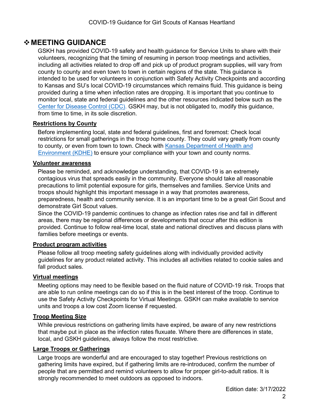# <span id="page-2-0"></span>**MEETING GUIDANCE**

GSKH has provided COVID-19 safety and health guidance for Service Units to share with their volunteers, recognizing that the timing of resuming in person troop meetings and activities, including all activities related to drop off and pick up of product program supplies, will vary from county to county and even town to town in certain regions of the state. This guidance is intended to be used for volunteers in conjunction with Safety Activity Checkpoints and according to Kansas and SU's local COVID-19 circumstances which remains fluid. This guidance is being provided during a time when infection rates are dropping. It is important that you continue to monitor local, state and federal guidelines and the other resources indicated below such as the [Center for Disease Control \(CDC\). G](https://www.cdc.gov/coronavirus/2019-ncov/index.html)SKH may, but is not obligated to, modify this guidance, from time to time, in its sole discretion.

# <span id="page-2-1"></span>**Restrictions by County**

Before implementing local, state and federal guidelines, first and foremost: Check local restrictions for small gatherings in the troop home county. They could vary greatly from county to county, or even from town to town. Check with [Kansas Department of Health and](https://www.coronavirus.kdheks.gov/)  [Environment \(KDHE\)](https://www.coronavirus.kdheks.gov/) to ensure your compliance with your town and county norms.

#### <span id="page-2-2"></span>**Volunteer awareness**

Please be reminded, and acknowledge understanding, that COVID-19 is an extremely contagious virus that spreads easily in the community. Everyone should take all reasonable precautions to limit potential exposure for girls, themselves and families. Service Units and troops should highlight this important message in a way that promotes awareness, preparedness, health and community service. It is an important time to be a great Girl Scout and demonstrate Girl Scout values.

Since the COVID-19 pandemic continues to change as infection rates rise and fall in different areas, there may be regional differences or developments that occur after this edition is provided. Continue to follow real-time local, state [a](https://www.fsis.usda.gov/wps/wcm/connect/fsis-content/internet/main/topics/recalls-and-public-health-alerts/additional-recall-links/state-departments-of-public-health/ct_index)nd [national](https://www.cdc.gov/coronavirus/2019-ncov/index.html) [d](https://www.cdc.gov/coronavirus/2019-ncov/index.html)irectives and discuss plans with families before meetings or events.

#### <span id="page-2-3"></span>**Product program activities**

Please follow all troop meeting safety guidelines along with individually provided activity guidelines for any product related activity. This includes all activities related to cookie sales and fall product sales.

#### <span id="page-2-4"></span>**Virtual meetings**

Meeting options may need to be flexible based on the fluid nature of COVID-19 risk. Troops that are able to run online meetings can do so if this is in the best interest of the troop. Continue to use the Safety Activity Checkpoints for Virtual Meetings. GSKH can make available to service units and troops a low cost Zoom license if requested.

#### <span id="page-2-5"></span>**Troop Meeting Size**

While previous restrictions on gathering limits have expired, be aware of any new restrictions that maybe put in place as the infection rates fluxuate. Where there are differences in state, local, and GSKH guidelines, always follow the most restrictive.

#### <span id="page-2-6"></span>**Large Troops or Gatherings**

Large troops are wonderful and are encouraged to stay together! Previous restrictions on gathering limits have expired, but if gathering limits are re-introduced, confirm the number of people that are permitted and remind volunteers to allow for proper girl-to-adult ratios. It is strongly recommended to meet outdoors as opposed to indoors.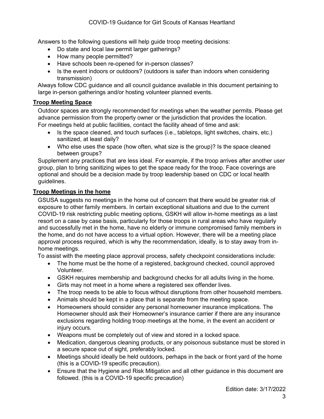Answers to the following questions will help guide troop meeting decisions:

- Do state and local law permit larger gatherings?
- How many people permitted?
- Have schools been re-opened for in-person classes?
- Is the event indoors or outdoors? (outdoors is safer than indoors when considering transmission)

Always follow CDC guidance and all council guidance available in this document pertaining to large in-person gatherings and/or hosting volunteer planned events.

#### <span id="page-3-0"></span>**Troop Meeting Space**

Outdoor spaces are strongly recommended for meetings when the weather permits. Please get advance permission from the property owner or the jurisdiction that provides the location. For meetings held at public facilities, contact the facility ahead of time and ask:

- Is the space cleaned, and touch surfaces (i.e., tabletops, light switches, chairs, etc.) sanitized, at least daily?
- Who else uses the space (how often, what size is the group)? Is the space cleaned between groups?

Supplement any practices that are less ideal. For example, if the troop arrives after another user group, plan to bring sanitizing wipes to get the space ready for the troop. Face coverings are optional and should be a decision made by troop leadership based on CDC or local health guidelines.

#### <span id="page-3-1"></span>**Troop Meetings in the home**

GSUSA suggests no meetings in the home out of concern that there would be greater risk of exposure to other family members. In certain exceptional situations and due to the current COVID-19 risk restricting public meeting options, GSKH will allow in-home meetings as a last resort on a case by case basis, particularly for those troops in rural areas who have regularly and successfully met in the home, have no elderly or immune compromised family members in the home, and do not have access to a virtual option. However, there will be a meeting place approval process required, which is why the recommendation, ideally, is to stay away from inhome meetings.

To assist with the meeting place approval process, safety checkpoint considerations include:

- The home must be the home of a registered, background checked, council approved Volunteer.
- GSKH requires membership and background checks for all adults living in the home.
- Girls may not meet in a home where a registered sex offender lives.
- The troop needs to be able to focus without disruptions from other household members.
- Animals should be kept in a place that is separate from the meeting space.
- Homeowners should consider any personal homeowner insurance implications. The Homeowner should ask their Homeowner's insurance carrier if there are any insurance exclusions regarding holding troop meetings at the home, in the event an accident or injury occurs.
- Weapons must be completely out of view and stored in a locked space.
- Medication, dangerous cleaning products, or any poisonous substance must be stored in a secure space out of sight, preferably locked.
- Meetings should ideally be held outdoors, perhaps in the back or front yard of the home (this is a COVID-19 specific precaution).
- Ensure that the Hygiene and Risk Mitigation and all other guidance in this document are followed. (this is a COVID-19 specific precaution)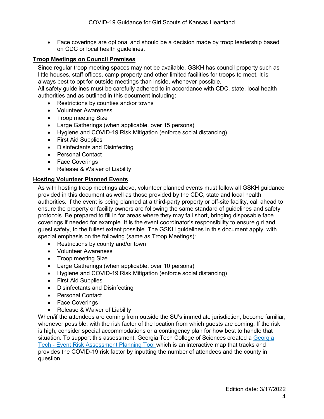• Face coverings are optional and should be a decision made by troop leadership based on CDC or local health guidelines.

## <span id="page-4-0"></span>**Troop Meetings on Council Premises**

Since regular troop meeting spaces may not be available, GSKH has council property such as little houses, staff offices, camp property and other limited facilities for troops to meet. It is always best to opt for outside meetings than inside, whenever possible.

All safety guidelines must be carefully adhered to in accordance with CDC, state, local health authorities and as outlined in this document including:

- Restrictions by counties and/or towns
- Volunteer Awareness
- Troop meeting Size
- Large Gatherings (when applicable, over 15 persons)
- Hygiene and COVID-19 Risk Mitigation (enforce social distancing)
- First Aid Supplies
- Disinfectants and Disinfecting
- Personal Contact
- Face Coverings
- Release & Waiver of Liability

#### <span id="page-4-1"></span>**Hosting Volunteer Planned Events**

As with hosting troop meetings above, volunteer planned events must follow all GSKH guidance provided in this document as well as those provided by the CDC, state and local health authorities. If the event is being planned at a third-party property or off-site facility, call ahead to ensure the property or facility owners are following the same standard of guidelines and safety protocols. Be prepared to fill in for areas where they may fall short, bringing disposable face coverings if needed for example. It is the event coordinator's responsibility to ensure girl and guest safety, to the fullest extent possible. The GSKH guidelines in this document apply, with special emphasis on the following (same as Troop Meetings):

- Restrictions by county and/or town
- Volunteer Awareness
- Troop meeting Size
- Large Gatherings (when applicable, over 10 persons)
- Hygiene and COVID-19 Risk Mitigation (enforce social distancing)
- First Aid Supplies
- Disinfectants and Disinfecting
- Personal Contact
- Face Coverings
- Release & Waiver of Liability

When/if the attendees are coming from outside the SU's immediate jurisdiction, become familiar, whenever possible, with the risk factor of the location from which guests are coming. If the risk is high, consider special accommodations or a contingency plan for how best to handle that situation. To support this assessment, [Georgia](https://covid19risk.biosci.gatech.edu/) Tech College of Sciences created a Georgia [Tech](https://covid19risk.biosci.gatech.edu/) [-](https://covid19risk.biosci.gatech.edu/) [Event](https://covid19risk.biosci.gatech.edu/) [Risk Assessment Planning Tool](https://covid19risk.biosci.gatech.edu/) which is an interactive map that tracks and provides the COVID-19 risk factor by inputting the number of attendees and the county in question.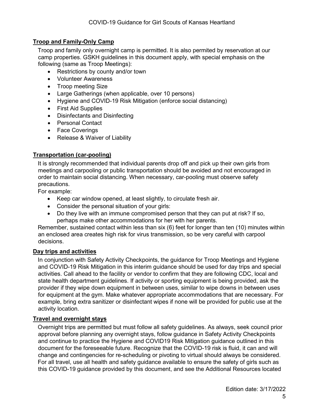# <span id="page-5-0"></span>**Troop and Family-Only Camp**

Troop and family only overnight camp is permitted. It is also permited by reservation at our camp properties. GSKH guidelines in this document apply, with special emphasis on the following (same as Troop Meetings):

- Restrictions by county and/or town
- Volunteer Awareness
- Troop meeting Size
- Large Gatherings (when applicable, over 10 persons)
- Hygiene and COVID-19 Risk Mitigation (enforce social distancing)
- First Aid Supplies
- Disinfectants and Disinfecting
- Personal Contact
- Face Coverings
- Release & Waiver of Liability

# <span id="page-5-1"></span>**Transportation (car-pooling)**

It is strongly recommended that individual parents drop off and pick up their own girls from meetings and carpooling or public transportation should be avoided and not encouraged in order to maintain social distancing. When necessary, car-pooling must observe safety precautions.

For example:

- Keep car window opened, at least slightly, to circulate fresh air.
- Consider the personal situation of your girls:
- Do they live with an immune compromised person that they can put at risk? If so, perhaps make other accommodations for her with her parents.

Remember, sustained contact within less than six (6) feet for longer than ten (10) minutes within an enclosed area creates high risk for virus transmission, so be very careful with carpool decisions.

#### <span id="page-5-2"></span>**Day trips and activities**

In conjunction with Safety Activity Checkpoints, the guidance for Troop Meetings and Hygiene and COVID-19 Risk Mitigation in this interim guidance should be used for day trips and special activities. Call ahead to the facility or vendor to confirm that they are following CDC, local and state health department guidelines. If activity or sporting equipment is being provided, ask the provider if they wipe down equipment in between uses, similar to wipe downs in between uses for equipment at the gym. Make whatever appropriate accommodations that are necessary. For example, bring extra sanitizer or disinfectant wipes if none will be provided for public use at the activity location.

#### <span id="page-5-3"></span>**Travel and overnight stays**

Overnight trips are permitted but must follow all safety guidelines. As always, seek council prior approval before planning any overnight stays, follow guidance in Safety Activity Checkpoints and continue to practice the Hygiene and COVID19 Risk Mitigation guidance outlined in this document for the foreseeable future. Recognize that the COVID-19 risk is fluid, it can and will change and contingencies for re-scheduling or pivoting to virtual should always be considered. For all travel, use all health and safety guidance available to ensure the safety of girls such as this COVID-19 guidance provided by this document, and see the Additional Resources located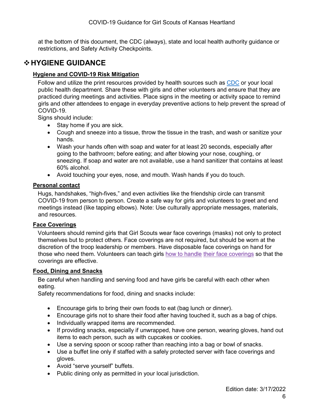at the bottom of this document, the CDC (always), state and local health authority guidance or restrictions, and Safety Activity Checkpoints.

# <span id="page-6-0"></span>**HYGIENE GUIDANCE**

# <span id="page-6-1"></span>**Hygiene and COVID-19 Risk Mitigation**

Follow and utilize the print resources provided b[y](https://nam02.safelinks.protection.outlook.com/?url=https%3A%2F%2Fwww.cdc.gov%2Fcoronavirus%2F2019-ncov%2Fcommunication%2Ffactsheets.html&data=02%7C01%7CLShimborski%40girlscouts.org%7Cbbdf954382c14fbfc22f08d7fce499c7%7Cd1c1cd27efe24fe8a12914d0a91c2139%7C1%7C0%7C637255931677896681&sdata=rGV%2BxPtjuo7ecIwevtALFgXhNHagtqGr4FwHHyP7LS8%3D&reserved=0) health sources such as [CDC](https://www.cdc.gov/coronavirus/2019-ncov/communication/graphics-buttons.html) [o](https://nam02.safelinks.protection.outlook.com/?url=https%3A%2F%2Fwww.cdc.gov%2Fcoronavirus%2F2019-ncov%2Fcommunication%2Ffactsheets.html&data=02%7C01%7CLShimborski%40girlscouts.org%7Cbbdf954382c14fbfc22f08d7fce499c7%7Cd1c1cd27efe24fe8a12914d0a91c2139%7C1%7C0%7C637255931677896681&sdata=rGV%2BxPtjuo7ecIwevtALFgXhNHagtqGr4FwHHyP7LS8%3D&reserved=0)r your local public health department. Share these with girls and other volunteers and ensure that they are practiced during meetings and activities. Place signs in the meeting or activity space to remind girls and other attendees to engage in [everyday preventive](https://nam02.safelinks.protection.outlook.com/?url=https%3A%2F%2Fwww.cdc.gov%2Fcoronavirus%2F2019-ncov%2Fprevent-getting-sick%2Fprevention.html&data=02%7C01%7CLShimborski%40girlscouts.org%7Cbbdf954382c14fbfc22f08d7fce499c7%7Cd1c1cd27efe24fe8a12914d0a91c2139%7C1%7C0%7C637255931677896681&sdata=3OridmMCAfj3tbfYDgI1A%2BozX%2BXP%2BhsmQ7qbHgzcSPk%3D&reserved=0) [actions](https://nam02.safelinks.protection.outlook.com/?url=https%3A%2F%2Fwww.cdc.gov%2Fcoronavirus%2F2019-ncov%2Fprevent-getting-sick%2Fprevention.html&data=02%7C01%7CLShimborski%40girlscouts.org%7Cbbdf954382c14fbfc22f08d7fce499c7%7Cd1c1cd27efe24fe8a12914d0a91c2139%7C1%7C0%7C637255931677896681&sdata=3OridmMCAfj3tbfYDgI1A%2BozX%2BXP%2BhsmQ7qbHgzcSPk%3D&reserved=0) to help prevent the spread of COVID-19.

Signs should include:

- Stay home if you are sick.
- Cough and sneeze into a tissue, throw the tissue in the trash, and wash or sanitize your hands.
- Wash your hands often with soap and water for at least 20 seconds, especially after going to the bathroom; before eating; and after blowing your nose, coughing, or sneezing. If soap and water are not available, use a hand sanitizer that contains at least 60% alcohol.
- Avoid touching your eyes, nose, and mouth. Wash hands if you do touch.

#### <span id="page-6-2"></span>**Personal contact**

Hugs, handshakes, "high-fives," and even activities like the friendship circle can transmit COVID-19 from person to person. Create a safe way for girls and volunteers to greet and end meetings instead (like tapping elbows). Note: Use culturally appropriate messages, materials, and resources.

# <span id="page-6-3"></span>**Face Coverings**

Volunteers should remind girls that Girl Scouts wear face coverings (masks) not only to protect themselves but to protect others. Face coverings are not required, but should be worn at the discretion of the troop leadership or members. Have disposable face coverings on hand for those who need them. Volunteers can teach girls [how to handle](https://nam02.safelinks.protection.outlook.com/?url=https%3A%2F%2Fwww.cdc.gov%2Fcoronavirus%2F2019-ncov%2Fprevent-getting-sick%2Fdiy-cloth-face-coverings.html&data=02%7C01%7CLShimborski%40girlscouts.org%7Cbbdf954382c14fbfc22f08d7fce499c7%7Cd1c1cd27efe24fe8a12914d0a91c2139%7C1%7C0%7C637255931677916672&sdata=THUJCqNuHy8hyHXE1vbHbagIpHpsiJD70LVcbvknpxY%3D&reserved=0) [their face coverings](https://nam02.safelinks.protection.outlook.com/?url=https%3A%2F%2Fwww.cdc.gov%2Fcoronavirus%2F2019-ncov%2Fprevent-getting-sick%2Fdiy-cloth-face-coverings.html&data=02%7C01%7CLShimborski%40girlscouts.org%7Cbbdf954382c14fbfc22f08d7fce499c7%7Cd1c1cd27efe24fe8a12914d0a91c2139%7C1%7C0%7C637255931677916672&sdata=THUJCqNuHy8hyHXE1vbHbagIpHpsiJD70LVcbvknpxY%3D&reserved=0) so that the coverings are effective.

#### <span id="page-6-4"></span>**Food, Dining and Snacks**

Be careful when handling and serving food and have girls be careful with each other when eating.

Safety recommendations for food, dining and snacks include:

- Encourage girls to bring their own foods to eat (bag lunch or dinner).
- Encourage girls not to share their food after having touched it, such as a bag of chips.
- Individually wrapped items are recommended.
- If providing snacks, especially if unwrapped, have one person, wearing gloves, hand out items to each person, such as with cupcakes or cookies.
- Use a serving spoon or scoop rather than reaching into a bag or bowl of snacks.
- Use a buffet line only if staffed with a safely protected server with face coverings and gloves.
- Avoid "serve yourself" buffets.
- Public dining only as permitted in your local jurisdiction.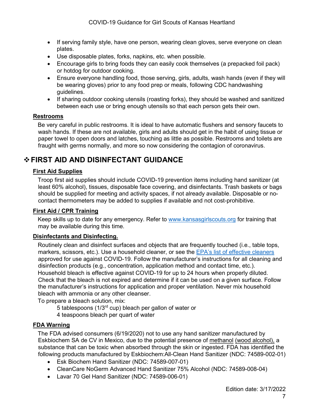- If serving family style, have one person, wearing clean gloves, serve everyone on clean plates.
- Use disposable plates, forks, napkins, etc. when possible.
- Encourage girls to bring foods they can easily cook themselves (a prepacked foil pack) or hotdog for outdoor cooking.
- Ensure everyone handling food, those serving, girls, adults, wash hands (even if they will be wearing gloves) prior to any food prep or meals, following CDC handwashing guidelines.
- If sharing outdoor cooking utensils (roasting forks), they should be washed and sanitized between each use or bring enough utensils so that each person gets their own.

## <span id="page-7-0"></span>**Restrooms**

Be very careful in public restrooms. It is ideal to have automatic flushers and sensory faucets to wash hands. If these are not available, girls and adults should get in the habit of using tissue or paper towel to open doors and latches, touching as little as possible. Restrooms and toilets are fraught with germs normally, and more so now considering the contagion of coronavirus.

# <span id="page-7-1"></span>**FIRST AID AND DISINFECTANT GUIDANCE**

# <span id="page-7-2"></span>**First Aid Supplies**

Troop first aid supplies should include COVID-19 prevention items including hand sanitizer (at least 60% alcohol), tissues, disposable face covering, and disinfectants. Trash baskets or bags should be supplied for meeting and activity spaces, if not already available. Disposable or nocontact thermometers may be added to supplies if available and not cost-prohibitive.

# <span id="page-7-3"></span>**First Aid / CPR Training**

Keep skills up to date for any emergency. Refer to [www.kansasgirlscouts.org](http://www.kansasgirlscouts.org/) for training that may be available during this time.

# <span id="page-7-4"></span>**Disinfectants and Disinfecting.**

Routinely clean and disinfect surface[s](https://www.cdc.gov/coronavirus/2019-ncov/community/organizations/cleaning-disinfection.html) and objects that are frequently touched (i.e., table tops, markers, scissors, etc.). Use a household cleaner, or see the [EPA's list of effective cleaners](https://cfpub.epa.gov/giwiz/disinfectants/index.cfm) approved for use against COVID-19. Follow the manufacturer's instructions for all cleaning and disinfection products (e.g., concentration, application method and contact time, etc.). Household bleach is effective against COVID-19 for up to 24 hours when properly diluted. Check that the bleach is not expired and determine if it can be used on a given surface. Follow the manufacturer's instructions for application and proper ventilation. Never mix household bleach with ammonia or any other cleanser.

To prepare a bleach solution, mix:

5 tablespoons ( $1/3<sup>rd</sup>$  cup) bleach per gallon of water or

4 teaspoons bleach per quart of water

# <span id="page-7-5"></span>**FDA Warning**

The FDA advised consumers (6/19/2020) not to use any hand sanitizer manufactured by Eskbiochem SA de CV in Mexico, due to the potential presence of methanol (wood alcohol), a substance that can be toxic when absorbed through the skin or ingested. FDA has identified the following products manufactured by Eskbiochem:All-Clean Hand Sanitizer (NDC: 74589-002-01)

- Esk Biochem Hand Sanitizer (NDC: 74589-007-01)
- CleanCare NoGerm Advanced Hand Sanitizer 75% Alcohol (NDC: 74589-008-04)
- Lavar 70 Gel Hand Sanitizer (NDC: 74589-006-01)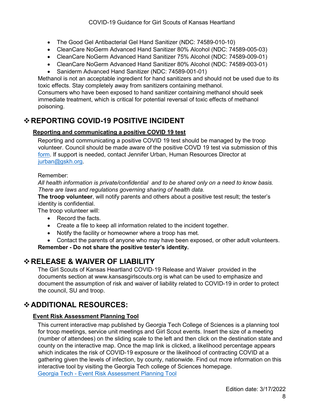- The Good Gel Antibacterial Gel Hand Sanitizer (NDC: 74589-010-10)
- CleanCare NoGerm Advanced Hand Sanitizer 80% Alcohol (NDC: 74589-005-03)
- CleanCare NoGerm Advanced Hand Sanitizer 75% Alcohol (NDC: 74589-009-01)
- CleanCare NoGerm Advanced Hand Sanitizer 80% Alcohol (NDC: 74589-003-01)
- Saniderm Advanced Hand Sanitizer (NDC: 74589-001-01)

Methanol is not an acceptable ingredient for hand sanitizers and should not be used due to its toxic effects. Stay completely away from sanitizers containing methanol.

Consumers who have been exposed to hand sanitizer containing methanol should seek immediate treatment, which is critical for potential reversal of toxic effects of methanol poisoning.

# <span id="page-8-0"></span>**REPORTING COVID-19 POSITIVE INCIDENT**

# <span id="page-8-1"></span>**Reporting and communicating a positive COVID 19 test**

Reporting and communicating a positive COVID 19 test should be managed by the troop volunteer. Council should be made aware of the positive COVD 19 test via submission of this [form.](https://form.jotform.com/212915786639066) If support is needed, contact Jennifer Urban, Human Resources Director at [jurban@gskh.org.](mailto:jurban@gskh.org)

## Remember:

*All health information is private/confidential and to be shared only on a need to know basis. There are laws and regulations governing sharing of health data.*

**The troop volunteer**, will notify parents and others about a positive test result; the tester's identity is confidential.

The troop volunteer will:

- Record the facts.
- Create a file to keep all information related to the incident together.
- Notify the facility or homeowner where a troop has met.
- Contact the parents of anyone who may have been exposed, or other adult volunteers.

**Remember - Do not share the positive tester's identity.**

# <span id="page-8-2"></span>**RELEASE & WAIVER OF LIABILITY**

The Girl Scouts of Kansas Heartland COVID-19 Release and Waive[r](https://girlscoutsconnect.sharepoint.com/:w:/r/sites/RiskandSafety/_layouts/15/Doc.aspx?sourcedoc=%7B87E3A3CE-744E-429A-AC2F-B6194B8C76C9%7D&file=Release%20%26%20Waiver.Council%20Template.Assumption%20of%20COVID19%20Risk.docx&action=default&mobileredirect=true) provided in the documents section at www.kansasgirlscouts.org is what can be used to emphasize and document the assumption of risk and waiver of liability related to COVID-19 in order to protect the council, SU and troop.

# <span id="page-8-3"></span>**ADDITIONAL RESOURCES:**

# <span id="page-8-4"></span>**Event Risk Assessment Planning Tool**

This current interactive map published by Georgia Tech College of Sciences is a planning tool for troop meetings, service unit meetings and Girl Scout events. Insert the size of a meeting (number of attendees) on the sliding scale to the left and then click on the destination state and county on the interactive map. Once the map link is clicked, a likelihood percentage appears which indicates the risk of COVID-19 exposure or the likelihood of contracting COVID at a gathering given the levels of infection, by county, nationwide. Find out more information on this interactive tool by visiting the Georgia Tech college of Sciences homepage. [Georgia Tech -](https://covid19risk.biosci.gatech.edu/) [Event Risk Assessment Planning Tool](https://covid19risk.biosci.gatech.edu/)